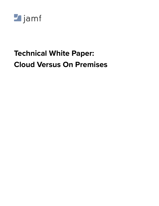

# **Technical White Paper: Cloud Versus On Premises**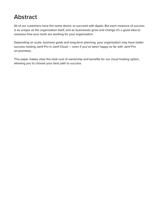# Abstract

All of our customers have the same desire: to succeed with Apple. But each measure of success is as unique as the organization itself, and as businesses grow and change it's a good idea to reassess how your tools are working for your organization.

Depending on scale, business goals and long-term planning, your organization may have better success hosting Jamf Pro in Jamf Cloud — even if you've been happy so far with Jamf Pro on-premises.

This paper makes clear the total cost of ownership and benefits for our cloud hosting option, allowing you to choose your best path to success.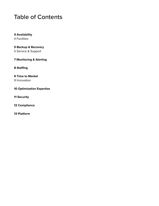### Table of Contents

**4 Availability** 4 Facilities

**5 Backup & Recovery** 5 Service & Support

**7 Monitoring & Alerting**

**8 Staffing**

**9 Time to Market** 9 Innovation

**10 Optimization Expertise**

**11 Security**

**12 Compliance**

**13 Platform**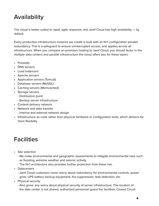# Availability

The cloud is better suited to rapid, agile response, and Jamf Cloud has high availability — by default.

Every production infrastructure instance we create is built with an N+1 configuration parallel redundancy. This is a safeguard to ensure uninterrupted access, and applies across all infrastructure. When you compare on-premises hosting to Jamf Cloud, you should factor in the multiple data centers and parallel infrastructure the cloud offers you for these layers:

- Firewalls
- DNS servers
- Load balancers
- Apache servers
- Application servers (Tomcat)
- Database servers (MySQL)
- Caching servers (Memcached)
- Storage servers
	- Distribution point
	- Backup server infrastructure
- Content delivery network
- Network and data transfer
	- Internal and external network design
- Infrastructure as code rather than physical hardware or configuration tools, which delivers far more flexibility

# **Facilities**

- Site selection
	- We make environmental and geographic assessments to mitigate environmental risks such as flooding, extreme weather and seismic activity.
	- The N+1 architecture also provides further protection from these risk.
- Datacenters
	- Jamf Cloud customers never worry about redundancy for environmental controls, power grids, UPS battery backup equipment, fire suppression, leak detection, etc.
- Physical security
	- Also gone: any worry about physical security of server infrastructure. The location of the data center is not shared, authorized personnel guard the facilities, Closed Circuit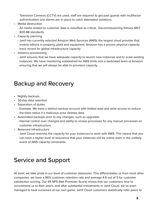Television Cameras (CCTV) are used, staff are required to get past guards with multifactor authentication and alarms are in place to catch attempted violations.

- Media destruction
	- All media related to customer data is classified as critical. Decommissioning follows NIST 800-88 standards.
- Capacity planning
	- Jamf has currently selected Amazon Web Services (AWS): the largest cloud provider that invests billions in property, plant and equipment. Amazon has a proven physical capacity track record for global infrastructure capacity.
- Instance provisioning
	- Jamf ensures that we have adequate capacity to launch new instances and to scale existing instances. We have monitoring established for AWS limits and a dedicated team at Amazon ensuring that we will always be able to provision capacity.

### Backup and Recovery

- Nightly backups
- 30-day data retention
- Separation of duties
	- Example: We have a distinct backup account with limited read and write access to reduce the blast radius if a malicious actor deletes data.
- Automated backups prior to any changes, such as upgrades
	- Internal control over changes and ability to review processes for any manual processes on customer infrastructure
- Reserved infrastructure
	- Jamf Cloud reserves the capacity for your instances to work with AWS. This means that you can have a higher level of assurance that your instances will be online even in the unlikely event of AWS capacity constraints.

### Service and Support

At Jamf, we take pride in our level of customer obsession. This differentiates us from most other companies: we have a 96% customer retention rate and average 4.6 out of 5 for customer satisfaction scoring. Our 45 NPS (Net Promoter Score) shows that our customers love to recommend us to their peers, and after substantial investments in Jamf Cloud, we've even managed to beat ourselves at our own game: Jamf Cloud customers statistically refer peers to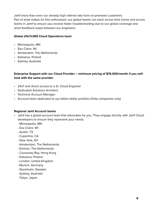Jamf more than even our already high referral rate from on-premises customers. Part of what makes for this enthusiasm: our global teams can work across time zones and across teams in Jamf to ensure you receive faster troubleshooting due to our global coverage and short feedback loops between our engineers.

#### **Global 24x7x365 Cloud Operations team**

- Minneapolis, MN
- Eau Claire, WI
- Amsterdam, The Netherlands
- Katowice, Poland
- Sydney, Australia

#### **Enterprise Support with our Cloud Provider – minimum pricing of \$15,000/month if you selfhost with the same provider**

- 24x7 and direct access to a Sr. Cloud Engineer
- Dedicated Solutions Architect
- Technical Account Manager
- Account team dedicated to our billion-dollar portfolio (Vista companies only)

#### **Regional Jamf Account teams**

- Jamf has a global account team that advocates for you. They engage directly with Jamf Cloud developers to ensure they represent your needs.
	- Minneapolis, MN
	- Eau Claire, WI
	- Austin, TX
	- Cupertino, CA
	- New York, NY
	- Amsterdam, The Netherlands
	- Emmen, The Netherlands
	- Causeway Bay, Hong Kong
	- Katowice, Poland
	- London, United Kingdom
	- Munich, Germany
	- Stockholm, Sweden
	- Sydney, Australia
	- Tokyo, Japan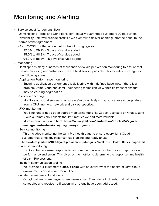# Monitoring and Alerting

- Service Level Agreement (SLA)
	- Jamf Hosting Terms and Conditions contractually guarantees customers 99.9% system availability. Jamf will provide credits if we ever fail to deliver on this guarantee equal to the terms of that agreement.
	- As of 11/29/2019 that amounted to the following figures:
		- 99.0% to 99.9% 3 days of service added
		- 95.0% to 98.9% 7 days of service added
		- 94.9% or below 15 days of service added
- Monitoring
	- Jamf spends many hundreds of thousands of dollars per year on monitoring to ensure that we are providing our customers with the best service possible. This includes coverage for the following areas:
	- Application Performance monitoring
		- Ensuring application performance is delivering within defined baselines. If there is a problem, Jamf Cloud and Jamf Engineering teams can view specific transactions that may be causing degradation.
	- Server monitoring
		- Monitors our cloud servers to ensure we're proactively sizing our servers appropriately from a CPU, memory, network and disk perspective.
	- JMX monitoring
		- You'll no longer need open-source monitoring tools like Zabbix, Jconsole or Nagios. Jamf Cloud automatically collects the JMX metrics we find most valuable.
		- More information found here: **[https://www.jamf.com/jamf-nation/articles/527/java](https://docs.jamf.com/10.3.0/jamf-pro/administrator-guide/Jamf_Pro_Health_Check_Page.html)   [management-extensions-jmx-glossary-for-jamf-pro](https://docs.jamf.com/10.3.0/jamf-pro/administrator-guide/Jamf_Pro_Health_Check_Page.html)**
	- Service monitoring
		- This includes monitoring the Jamf Pro health page to ensure every Jamf Cloud customer has a healthy instance that is online and ready to use:

#### **https://docs.jamf.com/10.3.0/jamf-pro/administrator-guide/Jamf\_Pro\_Health\_Check\_Page.html**

- End-user monitoring
	- Tracks actual end-user response times from their browser so that we can capture slow performance and errors. This gives us the metrics to determine the response-time health of Jamf Pro sessions.
- Incident communication tooling
	- We provide our customers a **[status page](https://status.jamf.com/)** with an overview of the health of Jamf Cloud environments across our product line.
- Incident management and alerts
	- Our global teams are paged when issues arise. They triage incidents, maintain on-call schedules and receive notification when alerts have been addressed.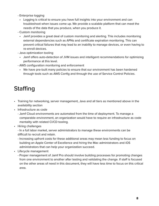- Enterprise logging
	- Logging is critical to ensure you have full insights into your environment and can troubleshoot when issues come up. We provide a scalable platform that can meet the needs of the data that you produce, when you produce it.
- Custom monitoring
	- Jamf provides a great deal of custom monitoring and alerting. This includes monitoring external dependencies such as APNs and certificate expiration monitoring. This can prevent critical failures that may lead to an inability to manage devices, or even having to re-enroll devices.
- Java optimization tooling
	- Jamf offers auto-detection of JVM issues and intelligent recommendations for optimizing performance at this level.
- AWS configuration monitoring and enforcement
	- We have pre-built many policies to ensure that our environment has been hardened through tools such as AWS Config and through the use of Service Control Policies.

# **Staffing**

- Training for networking, server management, Java and all tiers as mentioned above in the availability section
- Infrastructure as code
	- Jamf Cloud environments are automated from the time of deployment. To manage a comparable environment, an organization would have to require an infrastructure as code mentality with related CI/CD tooling.
- Hiring challenges
	- In a full labor market, server administrators to manage these environments can be difficult to recruit and retain.
	- Increasing upfront costs for these additional areas may mean less funding to focus on building an Apple Center of Excellence and hiring the Mac administrators and iOS administrators that can help your organization succeed.
- Lifecycle management
	- Proper management of Jamf Pro should involve building processes for promoting changes from one environment to another after testing and validating the change. If staff is focused on the other areas of need in this document, they will have less time to focus on this critical area.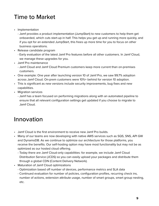# Time to Market

- Implementation
	- Jamf provides a product implementation (JumpStart) to new customers to help them get onboarded, which cuts start-up in half. This helps you get up and running more quickly, and if you opt for an extended JumpStart, this frees up more time for you to focus on other business operations.
- Release candidate program
	- Early evaluation of the latest Jamf Pro features before all other customers. In Jamf Cloud, we manage these upgrades for you.
- Jamf Pro maintenance
	- Jamf Cloud and Jamf Cloud Premium customers keep more current than on-premises customers.
- One example: One year after launching version 10 of Jamf Pro, we saw 99.7% adoption across Jamf Cloud. On-prem customers were 10%+ behind for version 10 adoption.
- This is significant as new versions include security improvements, bug fixes and new capabilities.
- Migration services
	- Jamf has a team focused on performing migrations along with an automated pipeline to ensure that all relevant configuration settings get updated if you choose to migrate to Jamf Cloud.

# Innovation

- Jamf Cloud is the first environment to receive new Jamf Pro builds.
- Many of our teams are now developing with native AWS services such as SQS, SNS, API GW and DynamoDB. As we continue to optimize our architecture for those platforms, you receive the benefits. Our self-hosting option may have most functionality but may not be as optimized as our hosted cloud offering.
	- Today there are Jamf Cloud-only capabilities: for example, we include Jamf Cloud Distribution Service (JCDS) so you can easily upload your packages and distribute them through a global CDN (Content Delivery Network).
- Maturation of Jamf Cloud optimizations
	- Optimization based off number of devices, performance metrics and SLA data
	- Continued evaluation for number of policies, configuration profiles, recurring check ins, number of actions, extension attribute usage, number of smart groups, smart group nesting, etc.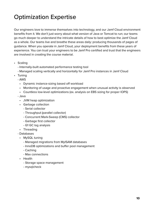# Optimization Expertise

Our engineers love to immerse themselves into technology, and our Jamf Cloud environment benefits from it. We don't just worry about what version of Java or Tomcat to run; our teams go much deeper to understand the intricate details of how to best optimize the Jamf Cloud as a whole. Our teams live and breathe these areas daily: producing thousands of pages of guidance. When you operate in Jamf Cloud, your deployment benefits from these years of experience. You can trust your engineers to be Jamf Pro certified and trust that the engineers are involved in creating the course material.

- Scaling
	- Internally-built automated performance testing tool
	- Managed scaling vertically and horizontally for Jamf Pro instances in Jamf Cloud
- Tuning
	- AWS
		- Dynamic instance-sizing based off workload
		- Monitoring of usage and proactive engagement when unusual activity is observed
		- Countless low-level optimizations (ex. analysis on EBS sizing for proper IOPS)
	- Java
		- JVM heap optimization
		- Garbage collection
			- Serial collector
			- Throughput (parallel collector)
			- Concurrent Mark-Sweep (CMS) collector
			- Garbage first collector
			- G1 GC log analysis
		- Threading
	- Databases
		- MySQL tuning
			- Managed migrations from MyISAM databases
			- InnoDB optimizations and buffer pool management
			- Caching
			- Max connections
		- Health
			- Storage space management
			- mysqlcheck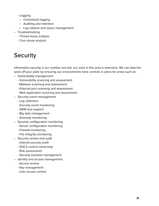- Logging
- Centralized logging
- Auditing and retention
- Log rotation and space management
- Troubleshooting
	- Thread dump analysis
	- Core dump analysis

# **Security**

Information security is our number one job; our work in this area is extensive. We can take the work off your plate by ensuring our environments have controls in place for areas such as:

- Vulnerability management
	- Vulnerability scanning and assessment
	- Malware scanning and assessment
	- External port scanning and assessment
	- Web application scanning and assessment
- Security event management
	- Log collection
	- Security event monitoring
	- SIEM tool support
	- Big data management
	- Anomaly monitoring
- Security configuration monitoring
	- Server configuration monitoring
	- Firewall monitoring
	- File integrity monitoring
- Security review and audit
	- Internal security audit
	- SOC2 control ownership
	- Risk assessment
	- Security baseline management
- Identity and access management
	- Access review
	- Key management
	- User access control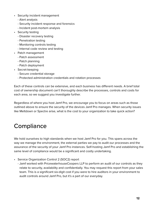- Security incident management
	- Alert analysis
	- Security incident response and forensics
	- Incident post-mortem analysis
- Security testing
	- Disaster recovery testing
	- Penetration testing
	- Monitoring controls testing
	- Internal code review and testing
- Patch management
	- Patch assessment
	- Patch planning
	- Patch deployment
- Secret-keeping
	- Secure credential storage
	- Protected administration credentials and rotation processes

Each of these controls can be extensive, and each business has different needs. A brief total cost of ownership document can't thoroughly describe the processes, controls and costs for each area, so we suggest you investigate further.

Regardless of where you host Jamf Pro, we encourage you to focus on areas such as those outlined above to ensure the security of the devices Jamf Pro manages. When security issues like Meltdown or Spectre arise, what is the cost to your organization to take quick action?

# **Compliance**

We hold ourselves to high standards when we host Jamf Pro for you. This spans across the way we manage the environment, the external parties we pay to audit our processes and the assurance of the security of your Jamf Pro instances. Self-hosting Jamf Pro and establishing the same level of compliance would be a significant and costly undertaking.

- Service Organization Control 2 (SOC2) report
	- Jamf worked with PricewaterhouseCoopers LLP to perform an audit of our controls as they relate to security, availability and confidentially. You may request this report from your sales team. This is a significant six-digit cost if you were to hire auditors in your environment to audit controls around Jamf Pro, but it's a part of our everyday.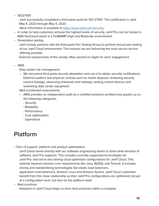- ISO27001
	- Jamf successfully completed a third-party audit for ISO 27001. The certification is valid May 4, 2020 through May 4, 2023.
		- More information is available at<https://www.jamf.com/security/>
- In order to help customers achieve the highest levels of security, Jamf Pro can be hosted in AWS GovCloud which is a FedRAMP High and Moderate environment.
- Penetration testing
	- Jamf closely partners with the third-party Pen Testing Group to perform annual pen testing of our Jamf Cloud environment. This ensures we are delivering the most secure service offering possible.
	- External assessments of this variety often exceed six digits for each engagement.
- AWS
	- Data center risk management
		- We document third-party security attestation and use it to obtain security certifications. External auditors test physical controls such as media disposal, reviewing security camera footage, observing entrances and hallways, testing control devices and examining data center equipment.
	- Well-architected assessments
		- AWS provides an independent audit by a certified solutions architect and grades us on the following categories:
			- Security
			- Reliability
			- Performance
			- Cost optimization
			- Operations

# Platform

- Tiers of support: platform and product optimization
	- Jamf Cloud works directly with our software engineering teams to drive what versions of software Jamf Pro supports. This includes currently supported technologies for Jamf Pro, and we're also driving cloud optimized configurations for Jamf Cloud. This extends beyond common core requirements like Java, MySQL and Tomcat. It includes driving and standardizing technologies like elastic load balancers, application load balancers, Amazon Linux and Amazon Aurora. Jamf Cloud customers benefit from this close relationship as their Jamf Pro configurations are optimized not just at a configuration level, but also for the platform itself.
- Best practices
	- Adoption of Jamf Cloud helps us drive best practices within a company.